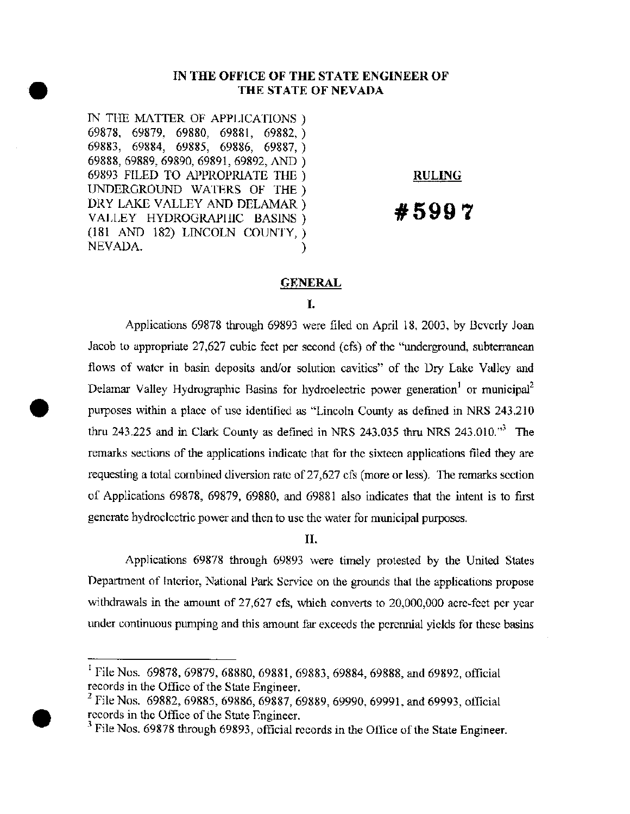# **IN THE OFFICE OF THE STATE ENGINEER OF<br>
THE STATE OF NEVADA**<br>
IN THE MATTER OF APPLICATIONS<br>  $(2922 - (2920 - (2990 - (2990 - (2990 - (2990 - (2990 - (2990 - (2990 - (2990 - (2990 - (2990 - (2990 - (2990 - (2990 - (2990 - (2990 - (2990 - (2990 - (2990 - (2990 - ($ **THE STATE** OF NEVADA

IN THE MATTER OF APPLICATIONS) 69878, 69879, 69880, 69881, 69882,) 69883, 69884, 69885, 69886, 69887,) 69888, 69889,69890, 69891, 69892, AND ) 69893 FILED TO APPROPRIATE THE) UNDERGROUND WATERS OF THE) DRY LAKE VALLEY AND DELAMAR) VALLEY HYDROGRAPHIC BASINS) (181 AND 182) LINCOLN COUNTY,) NEVADA.

# **RULING**

# **#5997**

# **GENERAL**

#### I.

Applications 69878 through 69893 were filed on April 18, 2003, by Beverly Joan Jacob to appropriate 27,627 cubic feet per second (cfs) of the "underground, subterranean flows of water in basin deposits and/or solution cavities" of the Dry Lake Valley and Delamar Valley Hydrographic Basins for hydroelectric power generation<sup>1</sup> or municipal<sup>2</sup> • purposes within a place of use identified as "Lincoln County as defined in NRS 243.210 thru 243.225 and in Clark County as defined in NRS 243.035 thru NRS 243.010. $\cdot$ <sup>3</sup> The remarks sections of the applications indicate that for the sixteen applications filed they are requesting a total combined diversion rate of 27,627 cfs (more or less). The remarks section of Applications 69878, 69879, 69880, and 69881 also indicates that the intent is to first generate hydroelectric power and then to use the water for municipal purposes.

#### **II.**

Applications 69878 through 69893 were timely protested by the United States Department of Interior, National Park Service on the grounds that the applications propose withdrawals in the amount of 27,627 cfs, which converts to 20,000,000 acre-feet per year under continuous pumping and this amount far exceeds the perennial yields for these basins

•

<sup>I</sup>File Nos. 69878,69879,68880,69881,69883,69884,69888, and 69892, official records in the Office of the State Engineer.

<sup>&</sup>lt;sup>2</sup> File Nos. 69882, 69885, 69886, 69887, 69889, 69990, 69991, and 69993, official records in the Office of the State Engineer.

<sup>&</sup>lt;sup>3</sup> File Nos. 69878 through 69893, official records in the Office of the State Engineer.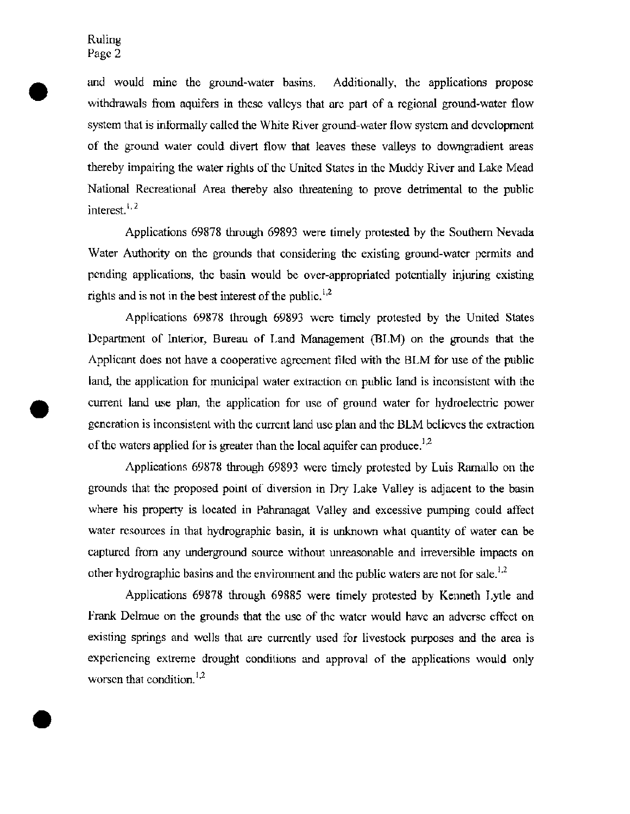•

and would mme the ground-water basins. Additionally, the applications propose withdrawals from aquifers in these valleys that are part of a regional ground-water flow system that is informally called the White River ground-water flow system and development of the ground water could divert flow that leaves these valleys to downgradient areas thereby impairing the water rights of the United States in the Muddy River and Lake Mead National Recreational Area thereby also threatening to prove detrimental to the public interest.<sup>1,2</sup>

Applications 69878 through 69893 were timely protested by the Southern Nevada Water Authority on the grounds that considering the existing ground-water permits and pending applications, the basin would be over-appropriated potentially injuring existing rights and is not in the best interest of the public.<sup>1,2</sup>

Applications 69878 through 69893 were timely protested by the United States Department of Interior, Bureau of Land Management (BLM) on the grounds that the Applicant does not have a cooperative agreement filed with the BLM for use of the public land, the application for municipal water extraction on public land is inconsistent with the • current land use plan, the application for use of ground water for hydroelectric power generation is inconsistent with the current land use plan and the BLM believes the extraction of the waters applied for is greater than the local aquifer can produce.<sup>1,2</sup>

Applications 69878 through 69893 were timely protested by Luis Ramallo on the grounds that the proposed point of diversion in Dry Lake Valley is adjacent to the basin where his property is located in Pahranagat Valley and excessive pumping could affect water resources in that hydrographic basin, it is unknown what quantity of water can be captured from any underground source without unreasonable and irreversible impacts on other hydrographic basins and the environment and the public waters are not for sale.<sup>1,2</sup>

Applications 69878 through 69885 were timely protested by Kenneth Lytle and Frank Delmue on the grounds that the use of the water would have an adverse effect on existing springs and wells that are currently used for livestock purposes and the area is experiencing extreme drought conditions and approval of the applications would only worsen that condition. $1,2$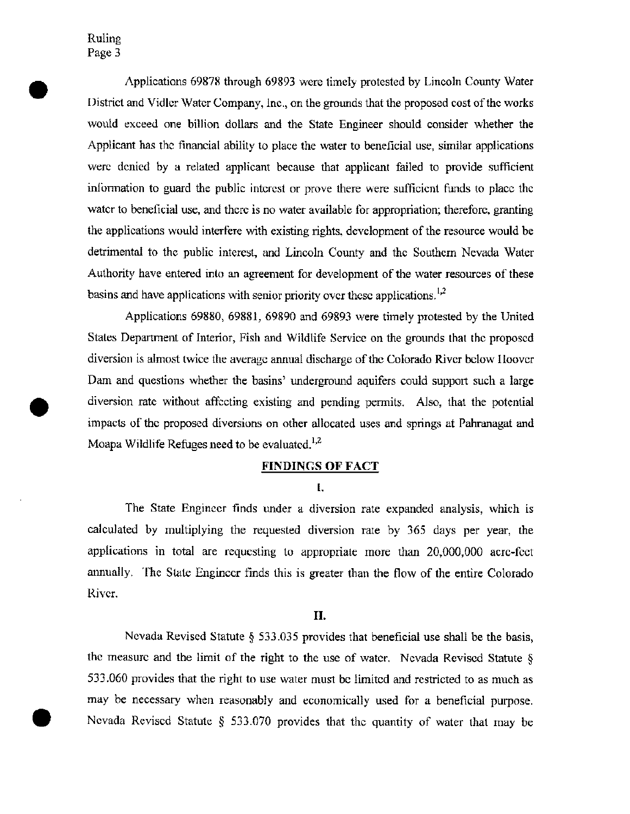•

Applications 69878 through 69893 were timely protested by Lincoln County Water District and Vidler Water Company, Inc., on the grounds that the proposed cost of the works would exceed one billion dollars and the State Engineer should consider whether the Applicant has the financial ability to place the water to beneficial use, similar applications were denied by a related applicant because that applicant failed to provide sufficient information to guard the public interest or prove there were sufficient fimds to place the water to beneficial use, and there is no water available for appropriation; therefore, granting the applications would interfere with existing rights, development of the resource would be detrimental to the public interest, and Lincoln County and the Southern Nevada Water Authority have entered into an agreement for development of the water resources of these basins and have applications with senior priority over these applications. $^{1,2}$ 

Applications 69880, 69881, 69890 and 69893 were timely protested by the United States Department of Interior, Fish and Wildlife Service on the grounds that the proposed diversion is almost twice the average annual discharge of the Colorado River below Hoover Dam and questions whether the basins' underground aquifers could support such a large • diversion rate without affecting existing and pending permits. Also, that the potential impacts of the proposed diversions on other allocated uses and springs at Pahranagat and Moapa Wildlife Refuges need to be evaluated.<sup>1,2</sup>

#### **FINDINGS OF FACT**

I.

The State Engineer finds under a diversion rate expanded analysis, which is calculated by multiplying the requested diversion rate by 365 days per year, the applications in total are requesting to appropriate more than 20,000,000 acre-feet annually. The State Engineer finds this is greater than the flow of the entire Colorado River.

#### **II.**

Nevada Revised Statute § 533.035 provides that beneficial use shall be the basis, the measure and the limit of the right to the use of water. Nevada Revised Statute  $\hat{\S}$ 533.060 provides that the right to use water must be limited and restricted to as much as may be necessary when reasonably and economically used for a beneficial purpose. • Nevada Revised Statute § 533.070 provides that the quantity of water that may be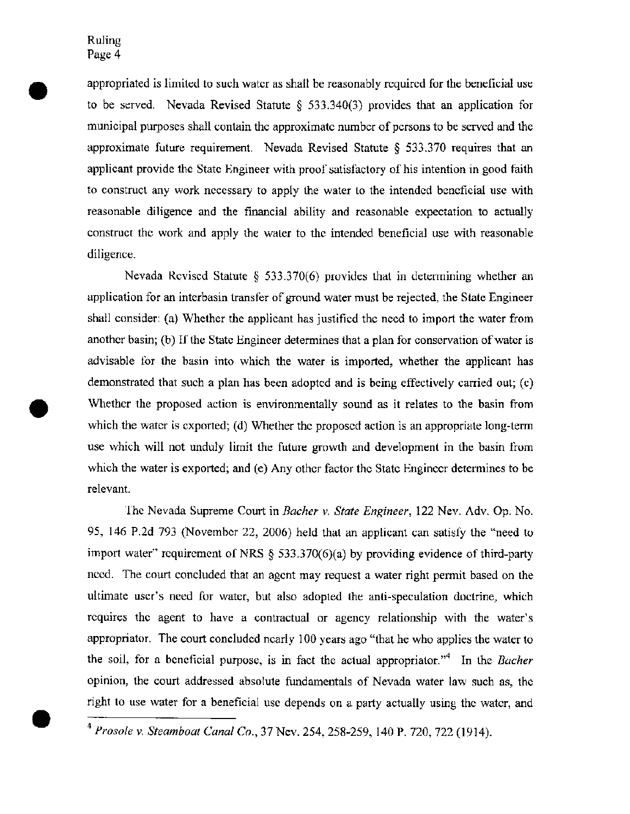•

appropriated is limited to such water as shall be reasonably required for the beneficial use to be served. Nevada Revised Statute § 533.340(3) provides that an application for municipal purposes shall contain the approximate number of persons to be served and the approximate future requirement. Nevada Revised Statute § 533.370 requires that an applicant provide the State Engineer with proof satisfactory of his intention in good faith to construct any work necessary to apply the water to the intended beneficial use with reasonable diligence and the financial ability and reasonable expectation to actually construct the work and apply the water to the intended beneficial use with reasonable diligence.

Nevada Revised Statute § 533.370(6) provides that in determining whether an application for an interbasin transfer of ground water must be rejected, the State Engineer shall consider: (a) Whether the applicant has justified the need to import the water from another basin; (b) If the State Engineer determines that a plan for conservation of water is advisable for the basin into which the water is imported, whether the applicant has demonstrated that such a plan has been adopted and is being effectively carried out; (c) Whether the proposed action is environmentally sound as it relates to the basin from which the water is exported; (d) Whether the proposed action is an appropriate long-term use which will not unduly limit the future growth and development in the basin from which the water is exported; and (e) Any other factor the State Engineer determines to be relevant.

The Nevada Supreme Court in *Bacher* v. *State Engineer,* 122 Nev. Adv. Op. No. 95, 146 P.2d 793 (November 22, 2006) held that an applicant can satisfy the "need to import water" requirement of NRS § 533.370(6)(a) by providing evidence of third-party need. The court concluded that an agent may request a water right permit based on the ultimate user's need for water, but also adopted the anti-speculation doctrine, which requires the agent to have a contractual or agency relationship with the water's appropriator. The court concluded nearly 100 years ago "that he who applies the water to the soil, for a beneficial purpose, is in fact the actual appropriator.<sup>44</sup> In the *Bacher* opinion, the court addressed absolute fundamentals of Nevada water law such as, the right to use water for a beneficial use depends on a party actually using the water, and

<sup>4</sup> *Prosole* v. *Steamboat Canal Co.,* 37 Nev. 254, 258-259, 140 P. 720, 722 (1914).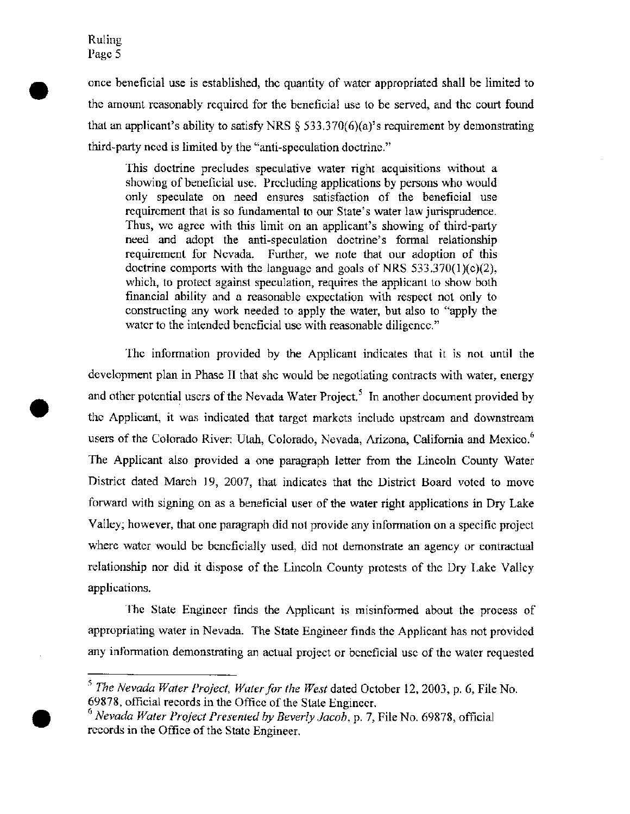•

•

•

once beneficial use is established, the quantity of water appropriated shall be limited to the amount reasonably required for the beneficial use to be served, and the court found that an applicant's ability to satisfy NRS  $\S$  533.370(6)(a)'s requirement by demonstrating third-party need is limited by the "anti-speculation doctrine."

This doctrine precludes speculative water right acquisitions without a showing of beneficial use. Precluding applications by persons who would only speculate on need ensures satisfaction of the beneficial use requirement that is so fundamental to our State's water law jurisprudence. Thus, we agree with this limit on an applicant's showing of third-party need and adopt the anti-speculation doctrine's formal relationship requirement for Nevada. Further, we note that our adoption of this doctrine comports with the language and goals of NRS 533.370(1)(c)(2), which, to protect against speculation, requires the applicant to show both financial ability and a reasonable expectation with respect not only to constructing any work needed to apply the water, but also to "apply the water to the intended beneficial use with reasonable diligence."

The information provided by the Applicant indicates that it is not until the development plan in Phase II that she would be negotiating contracts with water, energy and other potential users of the Nevada Water Project.<sup>5</sup> In another document provided by the Applicant, it was indicated that target markets include upstream and downstream users of the Colorado River: Utah, Colorado, Nevada, Arizona, California and Mexico.<sup>6</sup> The Applicant also provided a one paragraph letter from the Lincoln County Water District dated March 19, 2007, that indicates that the District Board voted to move forward with signing on as a beneficial user of the water right applications in Dry Lake Valley; however, that one paragraph did not provide any information on a specific project where water would be beneficially used, did not demonstrate an agency or contractual relationship nor did it dispose of the Lincoln County protests of the Dry Lake Valley applications.

The State Engineer finds the Applicant is misinformed about the process of appropriating water in Nevada. The State Engineer finds the Applicant has not provided any information demonstrating an actual project or beneficial use of the water requested

<sup>S</sup>*The Nevada Water Project, Water for the West* dated October 12,2003, p. 6, File No. 69878, official records in the Office of the State Engineer.

<sup>6</sup>*Nevada Water Project Presented by Beverly Jacob,* p. 7, File No. 69878, official records in the Office of the State Engineer.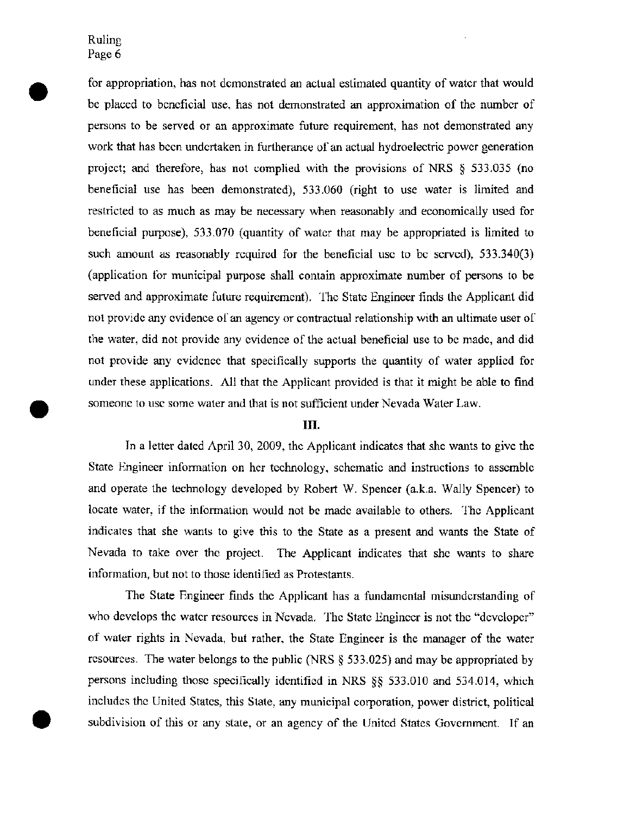•

for appropriation, has not demonstrated an actual estimated quantity of water that would be placed to beneficial use, has not demonstrated an approximation of the number of persons to be served or an approximate future requirement, has not demonstrated any work that has been undertaken in furtherance of an actual hydroelectric power generation project; and therefore, has not complied with the provisions of NRS  $\S$  533.035 (no beneficial use has been demonstrated), 533.060 (right to use water is limited and restricted to as much as may be necessary when reasonably and economically used for beneficial purpose), 533.070 (quantity of water that may be appropriated is limited to such amount as reasonably required for the beneficial use to be served), 533.340(3) (application for municipal purpose shall contain approximate number of persons to be served and approximate future requirement). The State Engineer finds the Applicant did not provide any evidence of an agency or contractual relationship with an ultimate user of the water, did not provide any evidence of the actual beneficial use to be made, and did not provide any evidence that specifically supports the quantity of water applied for under these applications. All that the Applicant provided is that it might be able to find someone to use some water and that is not sufficient under Nevada Water Law.

#### **III.**

In a letter dated April 30, 2009, the Applicant indicates that she wants to give the State Engineer information on her technology, schematic and instructions to assemble and operate the technology developed by Robert W. Spencer (a.k.a. Wally Spencer) to locate water, if the information would not be made available to others. The Applicant indicates that she wants to give this to the State as a present and wants the State of Nevada to take over the project. The Applicant indicates that she wants to share information, but not to those identified as Protestants.

The State Engineer finds the Applicant has a fundamental misunderstanding of who develops the water resources in Nevada. The State Engineer is not the "developer" of water rights in Nevada, but rather, the State Engineer is the manager of the water resources. The water belongs to the public (NRS § 533.025) and may be appropriated by persons including those specifically identified in NRS §§ 533.010 and 534.014, which includes the United States, this State, any municipal corporation, power district, political subdivision of this or any state, or an agency of the United States Government. If an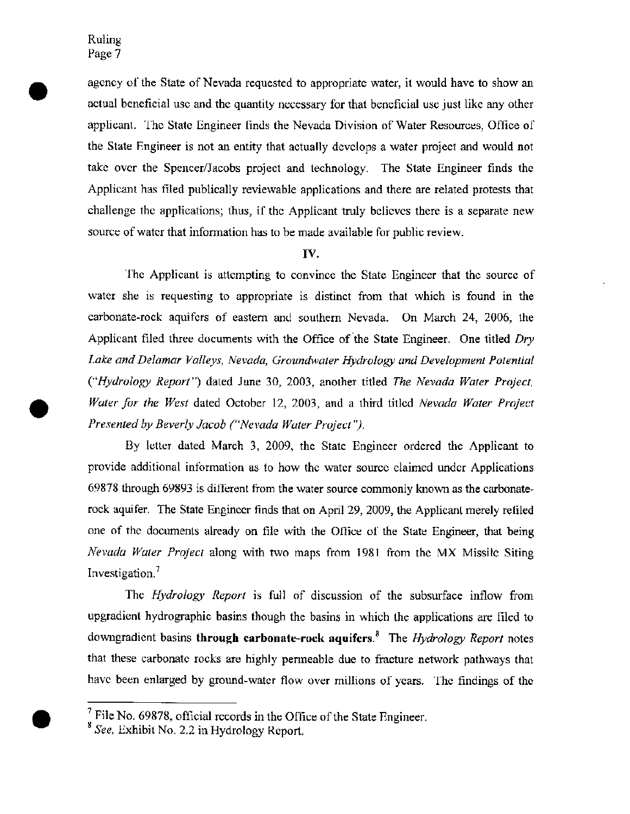•

agency of the State of Nevada requested to appropriate water, it would have to show an actual beneficial use and the quantity necessary for that beneficial use just like any other applicant. The State Engineer finds the Nevada Division of Water Resources, Office of the State Engineer is not an entity that actually develops a water project and would not take over the Spencer/Jacobs project and technology. The State Engineer finds the Applicant has filed publically reviewable applications and there are related protests that challenge the applications; thus, if the Applicant truly believes there is a separate new source of water that information has to be made available for public review.

#### IV.

The Applicant is attempting to convince the State Engineer that the source of water she is requesting to appropriate is distinct from that which is found in the carbonate-rock aquifers of eastern and southern Nevada. On March 24, 2006, the Applicant filed three documents with the Office of the State Engineer. One titled *Dry Lake and Delamar Valleys, Nevada, Groundwater Hydrology and Development Potential ("Hydrology Report")* dated June 30, 2003, another titled *The Nevada Water Project, • Water for the West* dated October 12, 2003, and a third titled *Nevada Water Project Presented by Beverly Jacob ("Nevada Water Project").* 

By letter dated March 3, 2009, the State Engineer ordered the Applicant to provide additional information as to how the water source claimed under Applications 69878 through 69893 is different from the water source commonly known as the carbonaterock aquifer. The State Engineer finds that on April 29, 2009, the Applicant merely refiled one of the documents already on file with the Office of the State Engineer, that being *Nevada Water Project* along with two maps from 1981 from the MX Missile Siting Investigation. <sup>7</sup>

The *Hydrology Report* is full of discussion of the subsurface inflow from upgradient hydrographic basins though the basins in which the applications are filed to downgradient basins **through** carbonate-rock aquifers.8 The *Hydrology Report* notes that these carbonate rocks are highly permeable due to fracture network pathways that have been enlarged by ground-water flow over millions of years. The findings of the

 $<sup>7</sup>$  File No. 69878, official records in the Office of the State Engineer.</sup>

<sup>8</sup> *See,* Exhibit No. 2.2 in Hydrology Report.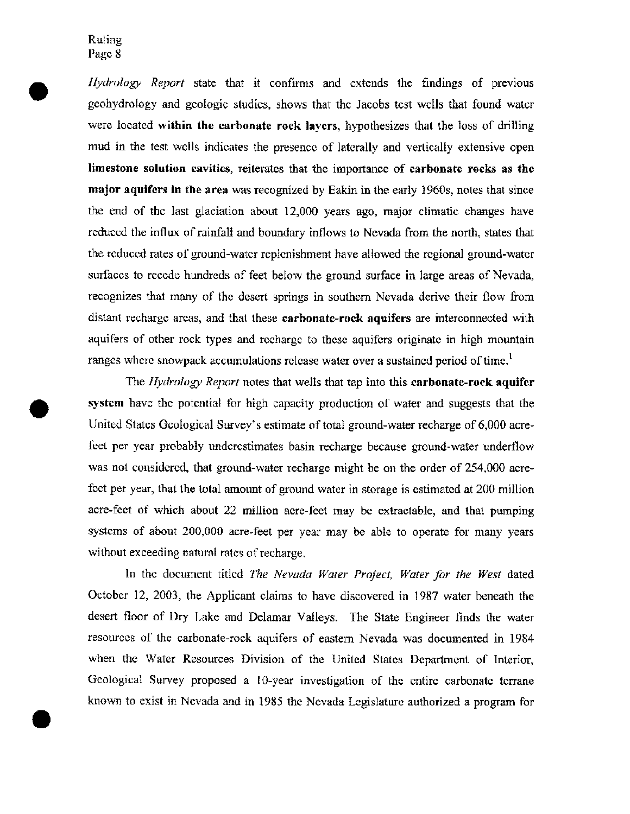•

•

*Hydrology Report* state that it confirms and extends the findings of previous geohydrology and geologic studies, shows that the Jacobs test wells that found water were located within the carbonate rock layers, hypothesizes that the loss of drilling mud in the test wells indicates the presence of laterally and vertically extensive open limestone solution cavities, reiterates that the importance of carbonate rocks as the major aquifers in the area was recognized by Eakin in the early 1960s, notes that since the end of the last glaciation about 12,000 years ago, major climatic changes have reduced the influx of rainfall and boundary inflows to Nevada from the north, states that the reduced rates of ground-water replenishment have allowed the regional ground-water surfaces to recede hundreds of feet below the ground surface in large areas of Nevada, recognizes that many of the desert springs in southern Nevada derive their flow from distant recharge areas, and that these carbonate-rock aquifers are interconnected with aquifers of other rock types and recharge to these aquifers originate in high mountain ranges where snowpack accumulations release water over a sustained period of time.<sup>1</sup>

The *Hydrology Report* notes that wells that tap into this carbonate-rock aquifer system have the potential for high capacity production of water and suggests that the United States Geological Survey's estimate of total ground-water recharge of 6,000 acre feet per year probably underestimates basin recharge because ground-water underflow was not considered, that ground-water recharge might be on the order of 254,000 acrefeet per year, that the total amount of ground water in storage is estimated at 200 million acre-feet of which about 22 million acre-feet may be extractable, and that pumping systems of about 200,000 acre-feet per year may be able to operate for many years without exceeding natural rates of recharge.

In the document titled *The Nevada Water Project, Water for the West* dated October 12, 2003, the Applicant claims to have discovered in 1987 water beneath the desert floor of Dry Lake and Delamar Valleys. The State Engineer finds the water resources of the carbonate-rock aquifers of eastern Nevada was documented in 1984 when the Water Resources Division of the United States Department of Interior, Geological Survey proposed a lO-year investigation of the entire carbonate terrane known to exist in Nevada and in 1985 the Nevada Legislature authorized a program for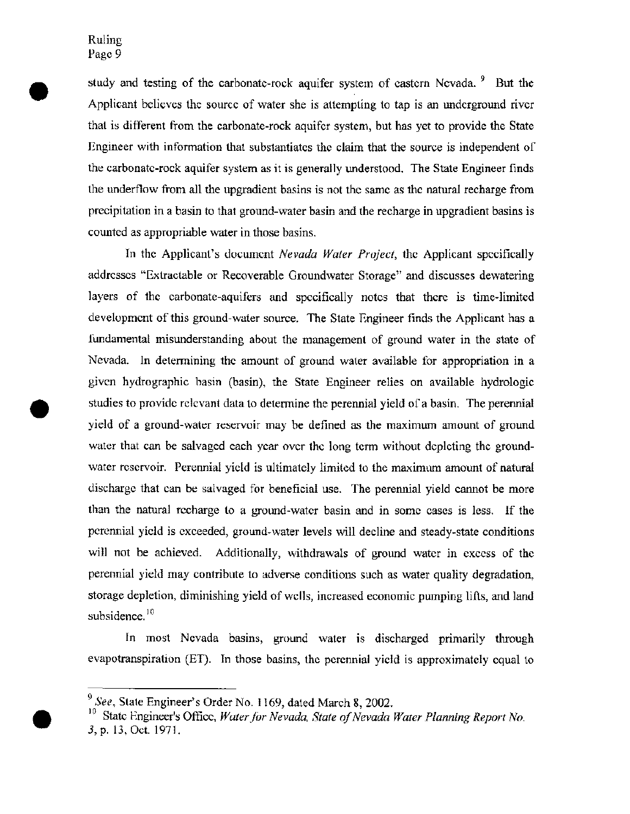•

study and testing of the carbonate-rock aquifer system of eastern Nevada.  $9$  But the Applicant believes the source of water she is attempting to tap is an underground river that is different from the carbonate-rock aquifer system, but has yet to provide the State Engineer with information that substantiates the claim that the source is independent of the carbonate-rock aquifer system as it is generally understood. The State Engineer finds the underflow from all the upgradient basins is not the same as the natural recharge from precipitation in a basin to that ground-water basin and the recharge in upgradient basins is counted as appropriable water in those basins.

In the Applicant's document *Nevada Water Project,* the Applicant specifically addresses "Extractable or Recoverable Groundwater Storage" and discusses dewatering layers of the carbonate-aquifers and specifically notes that there is time-limited development of this ground-water source. The State Engineer finds the Applicant has a fundamental misunderstanding about the management of ground water in the state of Nevada. In determining the amount of ground water available for appropriation in a given hydrographic basin (basin), the State Engineer relies on available hydrologic studies to provide relevant data to determine the perennial yield of a basin. The perennial yield of a ground-water reservoir may be defined as the maximum amount of ground water that can be salvaged each year over the long term without depleting the groundwater reservoir. Perennial yield is ultimately limited to the maximum amount of natural discharge that can be salvaged for beneficial use. The perennial yield cannot be more than the natural recharge to a ground-water basin and in some cases is less. If the perennial yield is exceeded, ground-water levels will decline and steady-state conditions will not be achieved. Additionally, withdrawals of ground water in excess of the perennial yield may contribute to adverse conditions such as water quality degradation, storage depletion, diminishing yield of wells, increased economic pumping lifts, and land subsidence.<sup>10</sup>

In most Nevada basins, ground water is discharged primarily through evapotranspiration (ET). In those basins, the perennial yield is approximately equal to

*<sup>9</sup> See,* State Engineer's Order No. 1169, dated March 8, 2002.

<sup>10</sup> State Engineer's Office, *Water for Nevada, State of Nevada Water Planning Report No .*  3, p. 13, Oct. 1971.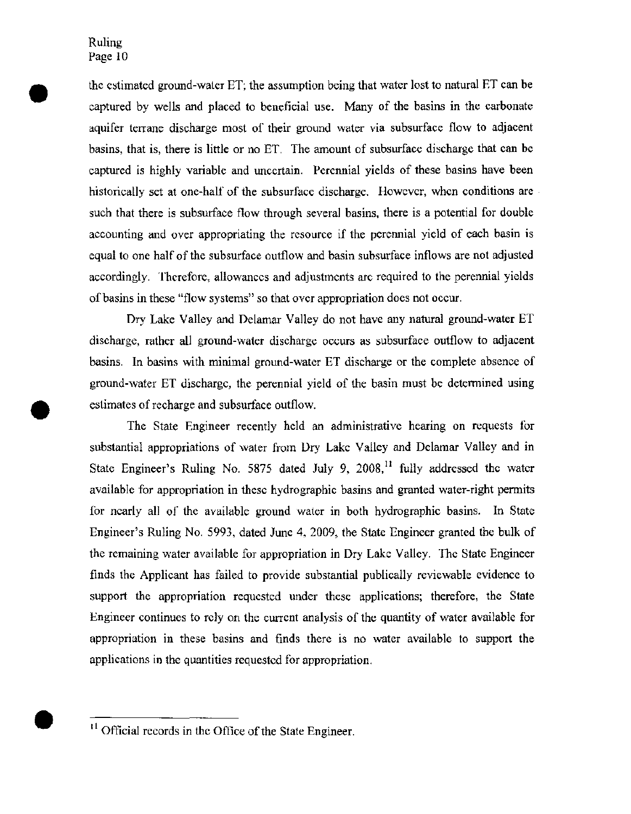•

•

the estimated ground-water ET; the assumption being that water lost to natural ET can be captured by wells and placed to beneficial use. Many of the basins in the carbonate aquifer terrane discharge most of their ground water via subsurface flow to adjacent basins, that is, there is little or no ET. The amount of subsurface discharge that can be captured is highly variable and uncertain. Perennial yields of these basins have been historically set at one-half of the subsurface discharge. However, when conditions are such that there is subsurface flow through several basins, there is a potential for double accounting and over appropriating the resource if the perennial yield of each basin is equal to one half of the subsurface outflow and basin subsurface inflows are not adjusted accordingly. Therefore, allowances and adjustments are required to the perennial yields of basins in these "flow systems" so that over appropriation does not occur.

Dry Lake Valley and Delamar Valley do not have any natural ground-water ET discharge, rather all ground-water discharge occurs as subsurface outflow to adjacent basins. In basins with minimal ground-water ET discharge or the complete absence of ground-water ET discharge, the perennial yield of the basin must be determined using • estimates of recharge and subsurface outflow.

The State Engineer recently held an administrative hearing on requests for substantial appropriations of water from Dry Lake Valley and Delamar Valley and in State Engineer's Ruling No. 5875 dated July 9,  $2008$ ,<sup>11</sup> fully addressed the water available for appropriation in these hydrographic basins and granted water-right permits for nearly all of the available ground water in both hydrographic basins. In State Engineer's Ruling No. 5993, dated June 4, 2009, the State Engineer granted the bulk of the remaining water available for appropriation in Dry Lake Valley. The State Engineer finds the Applicant has failed to provide substantial publically reviewable evidence to support the appropriation requested under these applications; therefore, the State Engineer continues to rely on the current analysis of the quantity of water available for appropriation in these basins and finds there is no water available to support the applications in the quantities requested for appropriation .

 $<sup>11</sup>$  Official records in the Office of the State Engineer.</sup>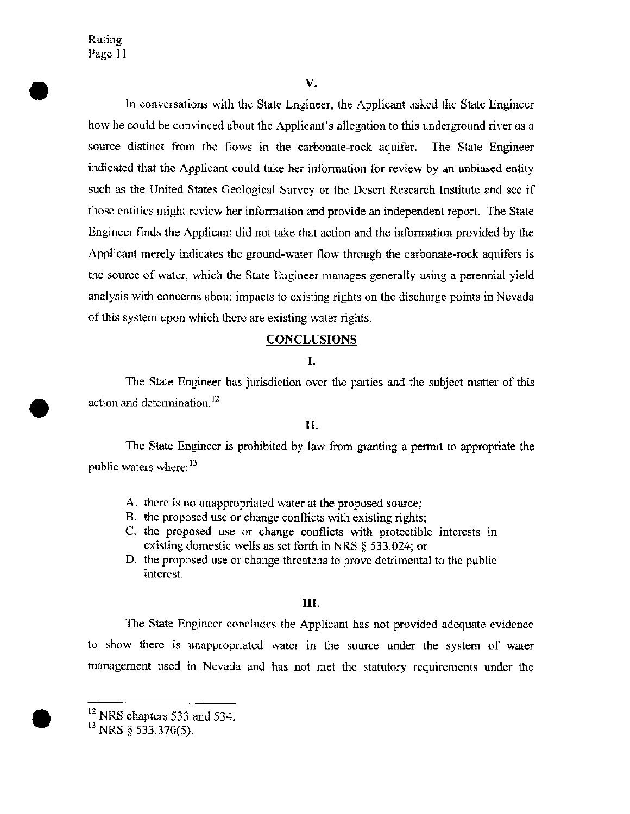•

•

•

#### $V_{\star}$

In conversations with the State Engineer, the Applicant asked the State Engineer how he could be convinced about the Applicant's allegation to this underground river as a source distinct from the flows in the carbonate-rock aquifer. The State Engineer indicated that the Applicant could take her information for review by an unbiased entity such as the United States Geological Survey or the Desert Research Institute and see if those entities might review her information and provide an independent report. The State Engineer finds the Applicant did not take that action and the information provided by the Applicant merely indicates the ground-water flow through the carbonate-rock aquifers is the source of water, which the State Engineer manages generally using a perennial yield analysis with concerns about impacts to existing rights on the discharge points in Nevada of this system upon which there are existing water rights.

#### **CONCLUSIONS**

#### **I.**

The State Engineer has jurisdiction over the parties and the subject matter of this action and determination. <sup>12</sup>

#### **II.**

The State Engineer is prohibited by law from granting a permit to appropriate the public waters where:<sup>13</sup>

- A. there is no unappropriated water at the proposed source;
- B. the proposed use or change conflicts with existing rights;
- C. the proposed use or change conflicts with protectible interests in existing domestic wells as set forth in NRS § 533.024; or
- D. the proposed use or change threatens to prove detrimental to the public interest.

#### **III.**

The State Engineer concludes the Applicant has not provided adequate evidence to show there is unappropriated water in the source under the system of water management used in Nevada and has not met the statutory requirements under the

 $12$  NRS chapters 533 and 534.

 $13$  NRS  $\frac{2533.370(5)}{200}$ .